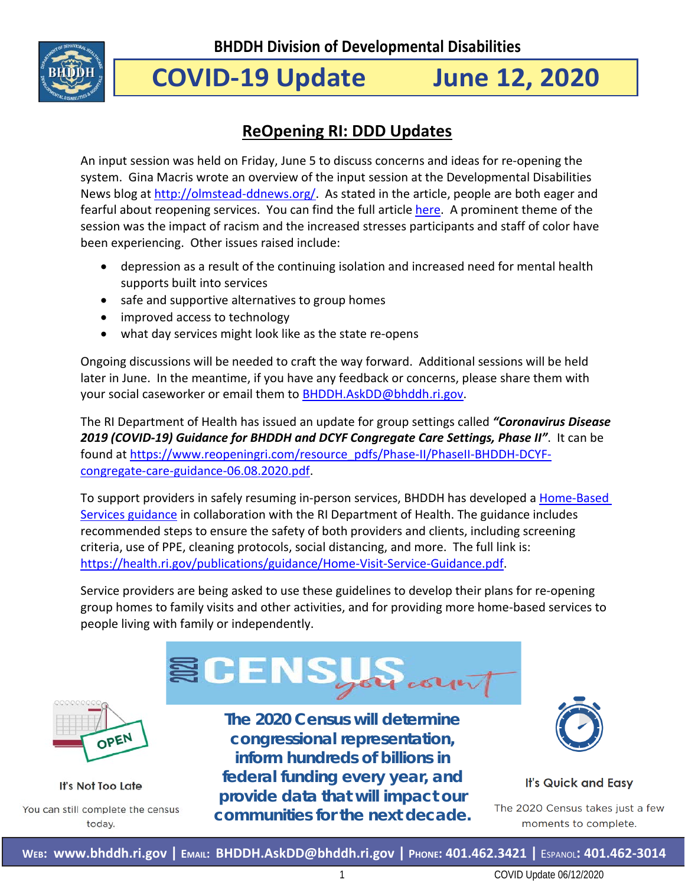

# **COVID-19 Update June 12, 2020**

# **ReOpening RI: DDD Updates**

An input session was held on Friday, June 5 to discuss concerns and ideas for re-opening the system. Gina Macris wrote an overview of the input session at the Developmental Disabilities News blog at [http://olmstead-ddnews.org/.](http://olmstead-ddnews.org/) As stated in the article, people are both eager and fearful about reopening services. You can find the full article [here.](http://olmstead-ddnews.org/olmstead-updates/2020/6/8/r8p79tzk2k24b6d17bzjuq0ldaph0w) A prominent theme of the session was the impact of racism and the increased stresses participants and staff of color have been experiencing. Other issues raised include:

- depression as a result of the continuing isolation and increased need for mental health supports built into services
- safe and supportive alternatives to group homes
- improved access to technology
- what day services might look like as the state re-opens

Ongoing discussions will be needed to craft the way forward. Additional sessions will be held later in June. In the meantime, if you have any feedback or concerns, please share them with your social caseworker or email them to [BHDDH.AskDD@bhddh.ri.gov.](mailto:BHDDH.AskDD@bhddh.ri.gov)

The RI Department of Health has issued an update for group settings called *"Coronavirus Disease 2019 (COVID-19) Guidance for BHDDH and DCYF Congregate Care Settings, Phase II"*. It can be found at [https://www.reopeningri.com/resource\\_pdfs/Phase-II/PhaseII-BHDDH-DCYF](https://www.reopeningri.com/resource_pdfs/Phase-II/PhaseII-BHDDH-DCYF-congregate-care-guidance-06.08.2020.pdf)[congregate-care-guidance-06.08.2020.pdf.](https://www.reopeningri.com/resource_pdfs/Phase-II/PhaseII-BHDDH-DCYF-congregate-care-guidance-06.08.2020.pdf)

To support providers in safely resuming in-person services, BHDDH has developed a Home-Based [Services guidance](https://health.ri.gov/publications/guidance/Home-Visit-Service-Guidance.pdf) in collaboration with the RI Department of Health. The guidance includes recommended steps to ensure the safety of both providers and clients, including screening criteria, use of PPE, cleaning protocols, social distancing, and more. The full link is: [https://health.ri.gov/publications/guidance/Home-Visit-Service-Guidance.pdf.](https://health.ri.gov/publications/guidance/Home-Visit-Service-Guidance.pdf)

Service providers are being asked to use these guidelines to develop their plans for re-opening group homes to family visits and other activities, and for providing more home-based services to people living with family or independently.





It's Not Too Late You can still complete the census today.

**The 2020 Census will determine congressional representation, inform hundreds of billions in federal funding every year, and provide data that will impact our communities for the next decade.**



**It's Quick and Easy** 

The 2020 Census takes just a few moments to complete.

**WEB: [www.bhddh.ri.gov](http://www.bhddh.ri.gov/) | EMAIL: [BHDDH.AskDD@bhddh.ri.gov](mailto:BHDDH.AskDD@bhddh.ri.gov) | PHONE: 401.462.3421 |** ESPANOL**: 401.462-3014**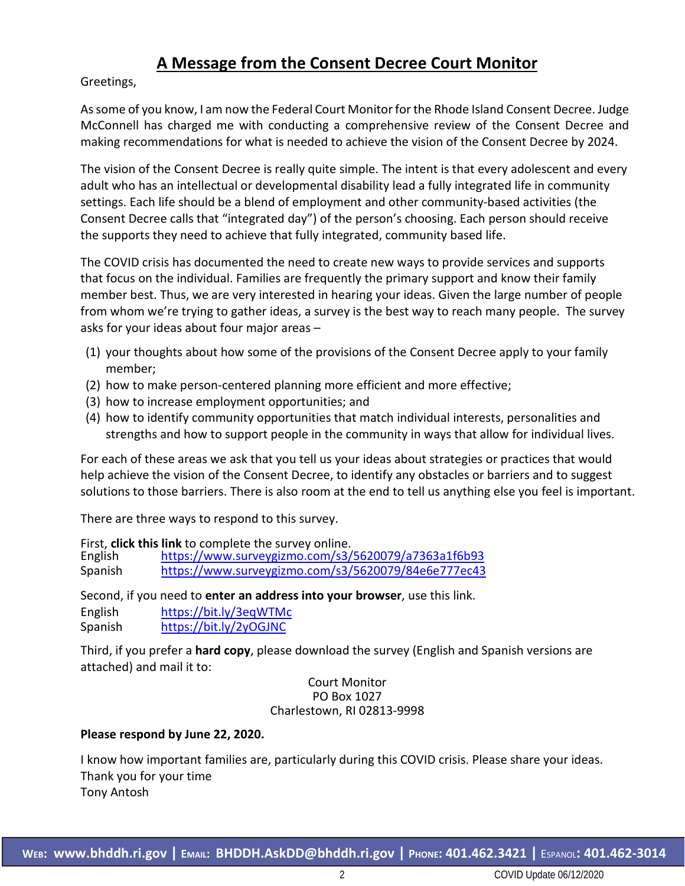# **A Message from the Consent Decree Court Monitor**

Greetings,

As some of you know, I am now the Federal Court Monitor for the Rhode Island Consent Decree. Judge McConnell has charged me with conducting a comprehensive review of the Consent Decree and making recommendations for what is needed to achieve the vision of the Consent Decree by 2024.

The vision of the Consent Decree is really quite simple. The intent is that every adolescent and every adult who has an intellectual or developmental disability lead a fully integrated life in community settings. Each life should be a blend of employment and other community-based activities (the Consent Decree calls that "integrated day") of the person's choosing. Each person should receive the supports they need to achieve that fully integrated, community based life.

The COVID crisis has documented the need to create new ways to provide services and supports that focus on the individual. Families are frequently the primary support and know their family member best. Thus, we are very interested in hearing your ideas. Given the large number of people from whom we're trying to gather ideas, a survey is the best way to reach many people. The survey asks for your ideas about four major areas –

- (1) your thoughts about how some of the provisions of the Consent Decree apply to your family member;
- (2) how to make person-centered planning more efficient and more effective;
- (3) how to increase employment opportunities; and
- (4) how to identify community opportunities that match individual interests, personalities and strengths and how to support people in the community in ways that allow for individual lives.

For each of these areas we ask that you tell us your ideas about strategies or practices that would help achieve the vision of the Consent Decree, to identify any obstacles or barriers and to suggest solutions to those barriers. There is also room at the end to tell us anything else you feel is important.

There are three ways to respond to this survey.

First, **click this link** to complete the survey online.

English https:/[/www.surveygizmo.com/s3/5620079/a7363a1f6b93](http://www.surveygizmo.com/s3/5620079/a7363a1f6b93) Spanish https:/[/www.surveygizmo.com/s3/5620079/84e6e777ec43](http://www.surveygizmo.com/s3/5620079/84e6e777ec43)

Second, if you need to **enter an address into your browser**, use this link.

English https://bit.ly/3eqWTMc Spanish https://bit.ly/2yOGJNC

Third, if you prefer a **hard copy**, please download the survey (English and Spanish versions are attached) and mail it to:

> Court Monitor PO Box 1027 Charlestown, RI 02813-9998

#### **Please respond by June 22, 2020.**

I know how important families are, particularly during this COVID crisis. Please share your ideas. Thank you for your time Tony Antosh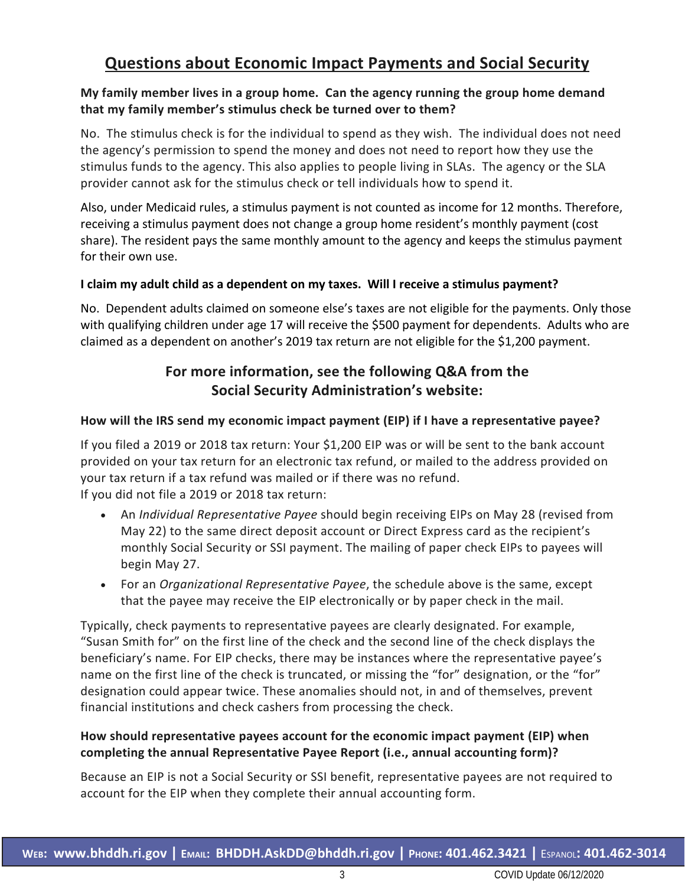# **Questions about Economic Impact Payments and Social Security**

#### **My family member lives in a group home. Can the agency running the group home demand that my family member's stimulus check be turned over to them?**

No. The stimulus check is for the individual to spend as they wish. The individual does not need the agency's permission to spend the money and does not need to report how they use the stimulus funds to the agency. This also applies to people living in SLAs. The agency or the SLA provider cannot ask for the stimulus check or tell individuals how to spend it.

Also, under Medicaid rules, a stimulus payment is not counted as income for 12 months. Therefore, receiving a stimulus payment does not change a group home resident's monthly payment (cost share). The resident pays the same monthly amount to the agency and keeps the stimulus payment for their own use.

#### **I claim my adult child as a dependent on my taxes. Will I receive a stimulus payment?**

No. Dependent adults claimed on someone else's taxes are not eligible for the payments. Only those with qualifying children under age 17 will receive the \$500 payment for dependents. Adults who are claimed as a dependent on another's 2019 tax return are not eligible for the \$1,200 payment.

## **For more information, see the following Q&A from the Social Security Administration's website:**

#### **How will the IRS send my economic impact payment (EIP) if I have a representative payee?**

If you filed a 2019 or 2018 tax return: Your \$1,200 EIP was or will be sent to the bank account provided on your tax return for an electronic tax refund, or mailed to the address provided on your tax return if a tax refund was mailed or if there was no refund. If you did not file a 2019 or 2018 tax return:

- An *Individual Representative Payee* should begin receiving EIPs on May 28 (revised from May 22) to the same direct deposit account or Direct Express card as the recipient's monthly Social Security or SSI payment. The mailing of paper check EIPs to payees will begin May 27.
- For an *Organizational Representative Payee*, the schedule above is the same, except that the payee may receive the EIP electronically or by paper check in the mail.

Typically, check payments to representative payees are clearly designated. For example, "Susan Smith for" on the first line of the check and the second line of the check displays the beneficiary's name. For EIP checks, there may be instances where the representative payee's name on the first line of the check is truncated, or missing the "for" designation, or the "for" designation could appear twice. These anomalies should not, in and of themselves, prevent financial institutions and check cashers from processing the check.

#### **How should representative payees account for the economic impact payment (EIP) when completing the annual Representative Payee Report (i.e., annual accounting form)?**

Because an EIP is not a Social Security or SSI benefit, representative payees are not required to account for the EIP when they complete their annual accounting form.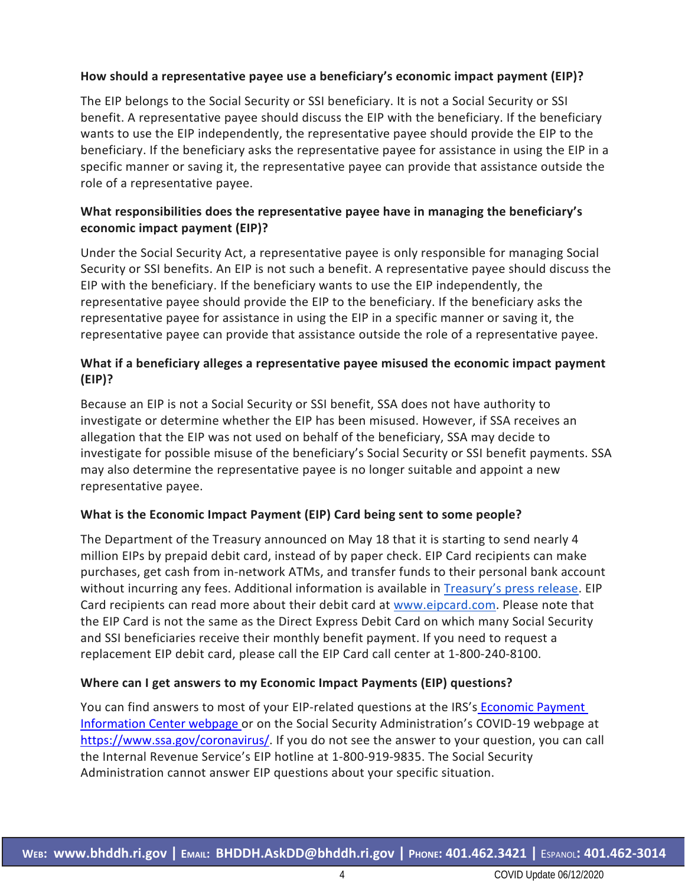#### **How should a representative payee use a beneficiary's economic impact payment (EIP)?**

The EIP belongs to the Social Security or SSI beneficiary. It is not a Social Security or SSI benefit. A representative payee should discuss the EIP with the beneficiary. If the beneficiary wants to use the EIP independently, the representative payee should provide the EIP to the beneficiary. If the beneficiary asks the representative payee for assistance in using the EIP in a specific manner or saving it, the representative payee can provide that assistance outside the role of a representative payee.

#### **What responsibilities does the representative payee have in managing the beneficiary's economic impact payment (EIP)?**

Under the Social Security Act, a representative payee is only responsible for managing Social Security or SSI benefits. An EIP is not such a benefit. A representative payee should discuss the EIP with the beneficiary. If the beneficiary wants to use the EIP independently, the representative payee should provide the EIP to the beneficiary. If the beneficiary asks the representative payee for assistance in using the EIP in a specific manner or saving it, the representative payee can provide that assistance outside the role of a representative payee.

#### **What if a beneficiary alleges a representative payee misused the economic impact payment (EIP)?**

Because an EIP is not a Social Security or SSI benefit, SSA does not have authority to investigate or determine whether the EIP has been misused. However, if SSA receives an allegation that the EIP was not used on behalf of the beneficiary, SSA may decide to investigate for possible misuse of the beneficiary's Social Security or SSI benefit payments. SSA may also determine the representative payee is no longer suitable and appoint a new representative payee.

#### **What is the Economic Impact Payment (EIP) Card being sent to some people?**

The Department of the Treasury announced on May 18 that it is starting to send nearly 4 million EIPs by prepaid debit card, instead of by paper check. EIP Card recipients can make purchases, get cash from in-network ATMs, and transfer funds to their personal bank account without incurring any fees. Additional information is available in [Treasury's press release.](https://home.treasury.gov/news/press-releases/sm1012) EIP Card recipients can read more about their debit card at [www.eipcard.com.](https://www.ssa.gov/agency/disclaimer.html?link=http%3A%2F%2Fwww.eipcard.com%2F) Please note that the EIP Card is not the same as the Direct Express Debit Card on which many Social Security and SSI beneficiaries receive their monthly benefit payment. If you need to request a replacement EIP debit card, please call the EIP Card call center at 1-800-240-8100.

#### **Where can I get answers to my Economic Impact Payments (EIP) questions?**

You can find answers to most of your EIP-related questions at the IRS's Economic Payment [Information Center webpage](https://www.irs.gov/coronavirus/economic-impact-payment-information-center) or on the Social Security Administration's COVID-19 webpage at [https://www.ssa.gov/coronavirus/.](https://www.ssa.gov/coronavirus/) If you do not see the answer to your question, you can call the Internal Revenue Service's EIP hotline at 1-800-919-9835. The Social Security Administration cannot answer EIP questions about your specific situation.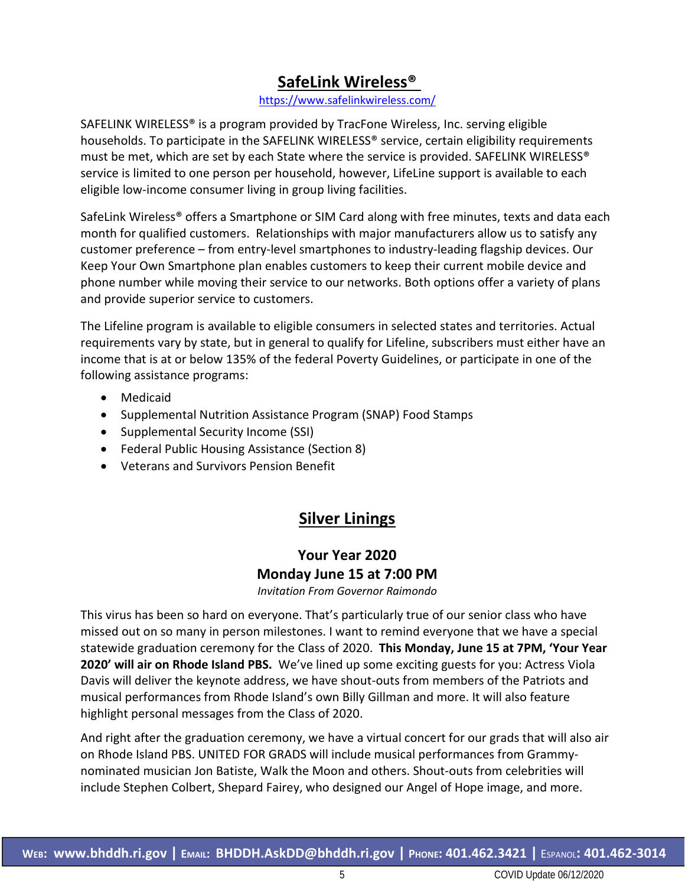# **SafeLink Wireless®**

<https://www.safelinkwireless.com/>

SAFELINK WIRELESS® is a program provided by TracFone Wireless, Inc. serving eligible households. To participate in the SAFELINK WIRELESS<sup>®</sup> service, certain eligibility requirements must be met, which are set by each State where the service is provided. SAFELINK WIRELESS® service is limited to one person per household, however, LifeLine support is available to each eligible low-income consumer living in group living facilities.

SafeLink Wireless® offers a Smartphone or SIM Card along with free minutes, texts and data each month for qualified customers. Relationships with major manufacturers allow us to satisfy any customer preference – from entry-level smartphones to industry-leading flagship devices. Our Keep Your Own Smartphone plan enables customers to keep their current mobile device and phone number while moving their service to our networks. Both options offer a variety of plans and provide superior service to customers.

The Lifeline program is available to eligible consumers in selected states and territories. Actual requirements vary by state, but in general to qualify for Lifeline, subscribers must either have an income that is at or below 135% of the federal Poverty Guidelines, or participate in one of the following assistance programs:

- Medicaid
- Supplemental Nutrition Assistance Program (SNAP) Food Stamps
- Supplemental Security Income (SSI)
- Federal Public Housing Assistance (Section 8)
- Veterans and Survivors Pension Benefit

# **Silver Linings**

# **Your Year 2020 Monday June 15 at 7:00 PM**

*Invitation From Governor Raimondo*

This virus has been so hard on everyone. That's particularly true of our senior class who have missed out on so many in person milestones. I want to remind everyone that we have a special statewide graduation ceremony for the Class of 2020. **This Monday, June 15 at 7PM, 'Your Year 2020' will air on Rhode Island PBS.** We've lined up some exciting guests for you: Actress Viola Davis will deliver the keynote address, we have shout-outs from members of the Patriots and musical performances from Rhode Island's own Billy Gillman and more. It will also feature highlight personal messages from the Class of 2020.

And right after the graduation ceremony, we have a virtual concert for our grads that will also air on Rhode Island PBS. UNITED FOR GRADS will include musical performances from Grammynominated musician Jon Batiste, Walk the Moon and others. Shout-outs from celebrities will include Stephen Colbert, Shepard Fairey, who designed our Angel of Hope image, and more.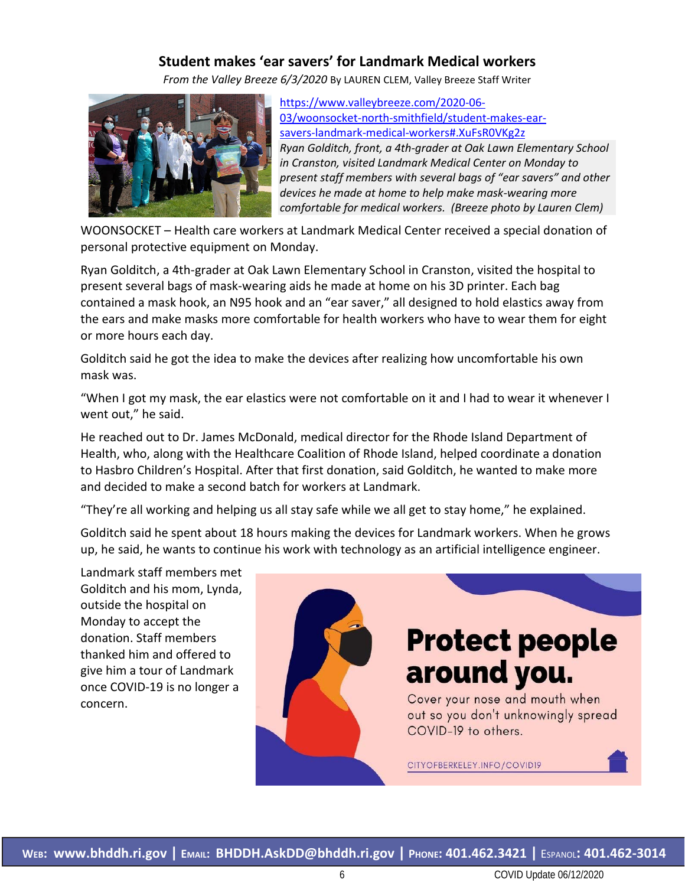#### **Student makes 'ear savers' for Landmark Medical workers**

*From the Valley Breeze 6/3/2020* By LAUREN CLEM, Valley Breeze Staff Writer



[https://www.valleybreeze.com/2020-06-](https://www.valleybreeze.com/2020-06-03/woonsocket-north-smithfield/student-makes-ear-savers-landmark-medical-workers#.XuFsR0VKg2z) [03/woonsocket-north-smithfield/student-makes-ear](https://www.valleybreeze.com/2020-06-03/woonsocket-north-smithfield/student-makes-ear-savers-landmark-medical-workers#.XuFsR0VKg2z)[savers-landmark-medical-workers#.XuFsR0VKg2z](https://www.valleybreeze.com/2020-06-03/woonsocket-north-smithfield/student-makes-ear-savers-landmark-medical-workers#.XuFsR0VKg2z) *Ryan Golditch, front, a 4th-grader at Oak Lawn Elementary School in Cranston, visited Landmark Medical Center on Monday to present staff members with several bags of "ear savers" and other devices he made at home to help make mask-wearing more comfortable for medical workers. (Breeze photo by Lauren Clem)*

WOONSOCKET – Health care workers at Landmark Medical Center received a special donation of personal protective equipment on Monday.

Ryan Golditch, a 4th-grader at Oak Lawn Elementary School in Cranston, visited the hospital to present several bags of mask-wearing aids he made at home on his 3D printer. Each bag contained a mask hook, an N95 hook and an "ear saver," all designed to hold elastics away from the ears and make masks more comfortable for health workers who have to wear them for eight or more hours each day.

Golditch said he got the idea to make the devices after realizing how uncomfortable his own mask was.

"When I got my mask, the ear elastics were not comfortable on it and I had to wear it whenever I went out," he said.

He reached out to Dr. James McDonald, medical director for the Rhode Island Department of Health, who, along with the Healthcare Coalition of Rhode Island, helped coordinate a donation to Hasbro Children's Hospital. After that first donation, said Golditch, he wanted to make more and decided to make a second batch for workers at Landmark.

"They're all working and helping us all stay safe while we all get to stay home," he explained.

Golditch said he spent about 18 hours making the devices for Landmark workers. When he grows up, he said, he wants to continue his work with technology as an artificial intelligence engineer.

Landmark staff members met Golditch and his mom, Lynda, outside the hospital on Monday to accept the donation. Staff members thanked him and offered to give him a tour of Landmark once COVID-19 is no longer a concern.

# **Protect people** around you.

Cover your nose and mouth when out so you don't unknowingly spread COVID-19 to others.

CITYOFBERKELEY.INFO/COVID19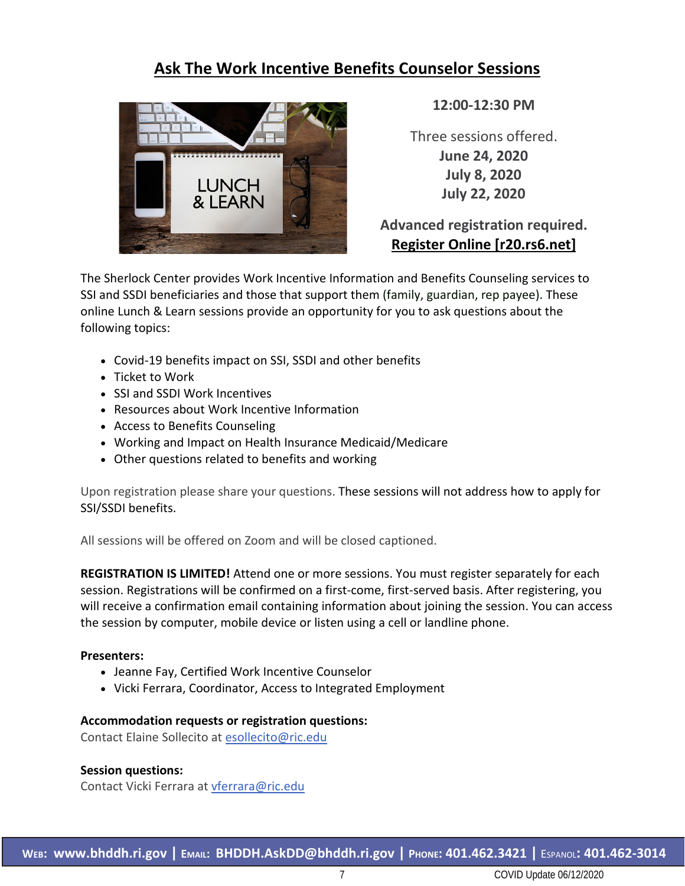# **Ask The Work Incentive Benefits Counselor Sessions**



**12:00-12:30 PM**

Three sessions offered. **June 24, 2020 July 8, 2020 July 22, 2020**

### **Advanced registration required. [Register Online \[r20.rs6.net\]](https://urldefense.proofpoint.com/v2/url?u=http-3A__r20.rs6.net_tn.jsp-3Ff-3D001-5FbROgasswNyCWHrAzGUuoKYLh3JCUY6XEM9OoG3yZ2K5NaxjNc58TL-2DuQ-5FNciBM2lXVQNASw-5F1845i1tUgPfwXYmC7XIMHMAVnSJtzDy0kvRfrkJdLTcfDJozqp3kXr-5FOkYNuZWhySfos6xQXc-5F-2D-5Fr3dGafKHbqp1uHdLKv5JKo5OnpqxY2zvJfqRylu-5F-5FFv-26c-3DdYDe3fSir5MdPwKGvQkZldpSbi0mciiLyekILdi0NiaIRQAE6lb75A-3D-3D-26ch-3Dg6Vi1cWiUO7vAaCJ3TZ3dzp4p7EsshnHToalkNpR6TOAvObC9onVTA-3D-3D&d=DwMCaQ&c=tSLbvWYfvulPN3G_n48TUw&r=Q8jsXbS2P1J7BJKxvIQ1R8OK1qktACvK2dPZIQUAtV4&m=RvRhQeTJOU8MNHPK_GR5iM2Lh281bAQPaP-fxmbA8mA&s=sRAxv1GNI5pgHKenF9hkYrqdySbwZv8mFjzuGavAPbQ&e=)**

The Sherlock Center provides Work Incentive Information and Benefits Counseling services to SSI and SSDI beneficiaries and those that support them (family, guardian, rep payee). These online Lunch & Learn sessions provide an opportunity for you to ask questions about the following topics:

- Covid-19 benefits impact on SSI, SSDI and other benefits
- Ticket to Work
- SSI and SSDI Work Incentives
- Resources about Work Incentive Information
- Access to Benefits Counseling
- Working and Impact on Health Insurance Medicaid/Medicare
- Other questions related to benefits and working

Upon registration please share your questions. These sessions will not address how to apply for SSI/SSDI benefits.

All sessions will be offered on Zoom and will be closed captioned.

**REGISTRATION IS LIMITED!** Attend one or more sessions. You must register separately for each session. Registrations will be confirmed on a first-come, first-served basis. After registering, you will receive a confirmation email containing information about joining the session. You can access the session by computer, mobile device or listen using a cell or landline phone.

#### **Presenters:**

- Jeanne Fay, Certified Work Incentive Counselor
- Vicki Ferrara, Coordinator, Access to Integrated Employment

#### **Accommodation requests or registration questions:**

Contact Elaine Sollecito at [esollecito@ric.edu](mailto:esollecito@ric.edu)

#### **Session questions:**

Contact Vicki Ferrara at [vferrara@ric.edu](mailto:vferrara@ric.edu)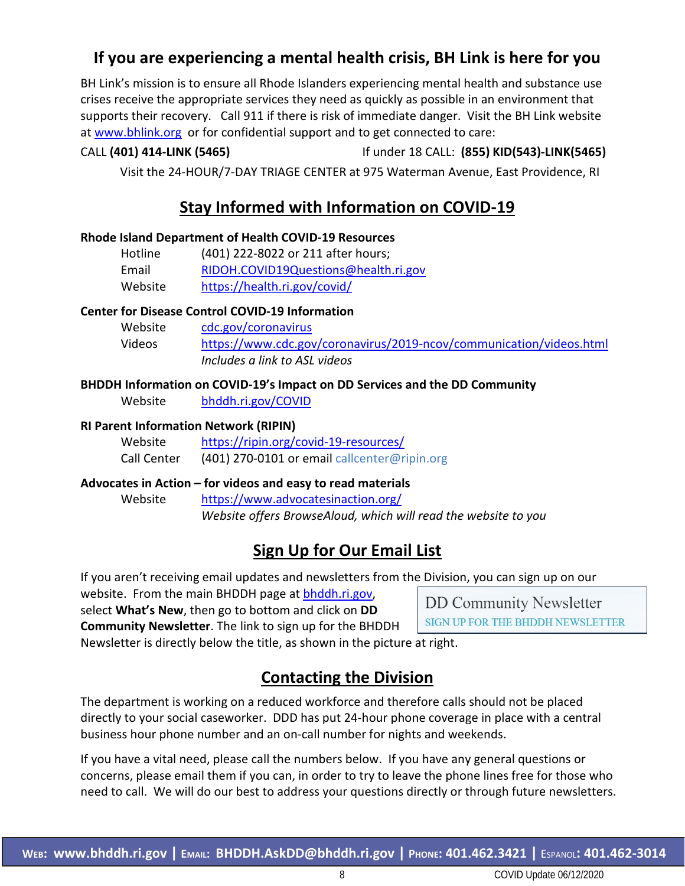# **If you are experiencing a mental health crisis, BH Link is here for you**

BH Link's mission is to ensure all Rhode Islanders experiencing mental health and substance use crises receive the appropriate services they need as quickly as possible in an environment that supports their recovery. Call 911 if there is risk of immediate danger. Visit the BH Link website at [www.bhlink.org](http://www.bhlink.org/) or for confidential support and to get connected to care:

#### CALL **(401) 414-LINK (5465)** If under 18 CALL: **(855) KID(543)-LINK(5465)**

Visit the 24-HOUR/7-DAY TRIAGE CENTER at 975 Waterman Avenue, East Providence, RI

## **Stay Informed with Information on COVID-19**

#### **Rhode Island Department of Health COVID-19 Resources**

| Hotline | (401) 222-8022 or 211 after hours;   |
|---------|--------------------------------------|
| Email   | RIDOH.COVID19Questions@health.ri.gov |
| Website | https://health.ri.gov/covid/         |

#### **Center for Disease Control COVID-19 Information**

| Website | cdc.gov/coronavirus                                                 |
|---------|---------------------------------------------------------------------|
| Videos  | https://www.cdc.gov/coronavirus/2019-ncov/communication/videos.html |
|         | Includes a link to ASL videos                                       |

#### **BHDDH Information on COVID-19's Impact on DD Services and the DD Community**

Website [bhddh.ri.gov/COVID](http://www.bhddh.ri.gov/COVID) 

#### **RI Parent Information Network (RIPIN)**

| Website     | https://ripin.org/covid-19-resources/        |
|-------------|----------------------------------------------|
| Call Center | (401) 270-0101 or email callcenter@ripin.org |

#### **Advocates in Action – for videos and easy to read materials**

Website <https://www.advocatesinaction.org/> *Website offers BrowseAloud, which will read the website to you*

# **Sign Up for Our Email List**

If you aren't receiving email updates and newsletters from the Division, you can sign up on our

website. From the main BHDDH page at [bhddh.ri.gov,](http://www.bhddh.ri.gov/) select **What's New**, then go to bottom and click on **DD Community Newsletter**. The link to sign up for the BHDDH

**DD Community Newsletter** SIGN UP FOR THE BHDDH NEWSLETTER

Newsletter is directly below the title, as shown in the picture at right.

# **Contacting the Division**

The department is working on a reduced workforce and therefore calls should not be placed directly to your social caseworker. DDD has put 24-hour phone coverage in place with a central business hour phone number and an on-call number for nights and weekends.

If you have a vital need, please call the numbers below. If you have any general questions or concerns, please email them if you can, in order to try to leave the phone lines free for those who need to call. We will do our best to address your questions directly or through future newsletters.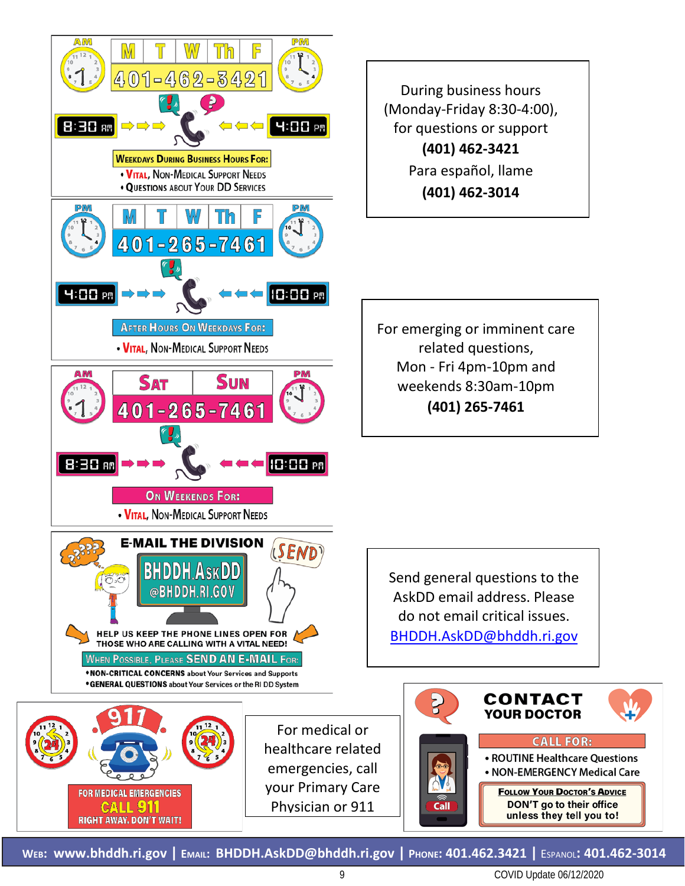

**WEB: [www.bhddh.ri.gov](http://www.bhddh.ri.gov/) | EMAIL: [BHDDH.AskDD@bhddh.ri.gov](mailto:BHDDH.AskDD@bhddh.ri.gov) | PHONE: 401.462.3421 |** ESPANOL**: 401.462-3014**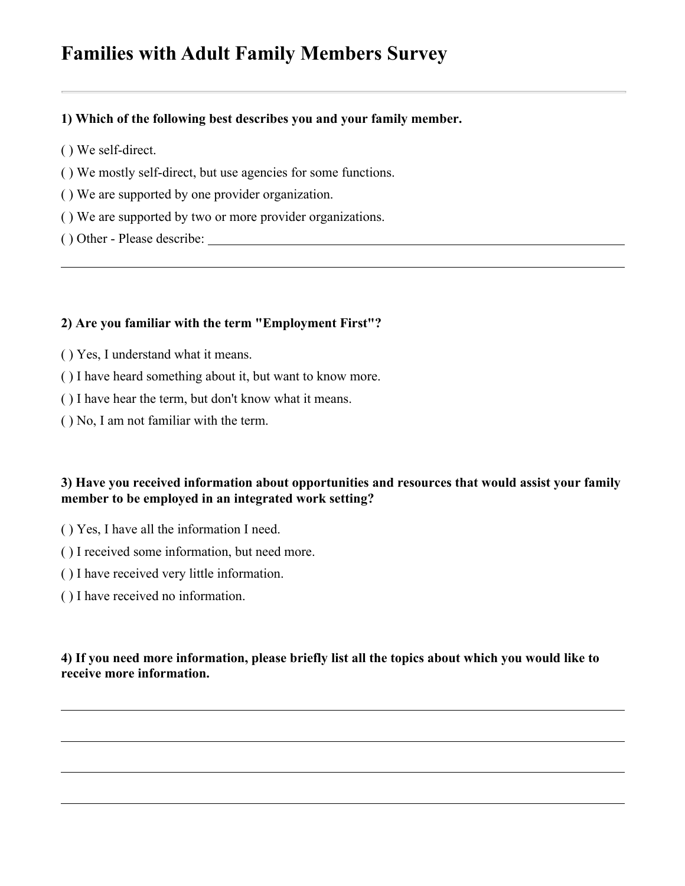# **Families with Adult Family Members Survey**

#### **1) Which of the following best describes you and your family member.**

- ( ) We self-direct.
- ( ) We mostly self-direct, but use agencies for some functions.
- ( ) We are supported by one provider organization.
- ( ) We are supported by two or more provider organizations.
- ( ) Other Please describe:

#### **2) Are you familiar with the term "Employment First"?**

- ( ) Yes, I understand what it means.
- ( ) I have heard something about it, but want to know more.
- ( ) I have hear the term, but don't know what it means.
- ( ) No, I am not familiar with the term.

#### **3) Have you received information about opportunities and resources that would assist your family member to be employed in an integrated work setting?**

- ( ) Yes, I have all the information I need.
- ( ) I received some information, but need more.
- ( ) I have received very little information.
- ( ) I have received no information.

#### **4) If you need more information, please briefly list all the topics about which you would like to receive more information.**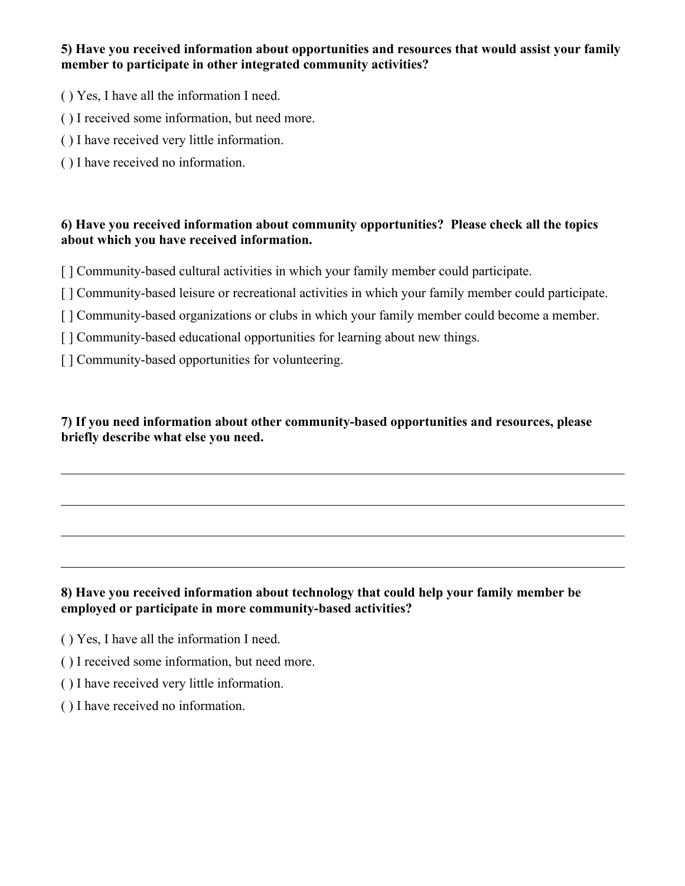#### **5) Have you received information about opportunities and resources that would assist your family member to participate in other integrated community activities?**

- ( ) Yes, I have all the information I need.
- ( ) I received some information, but need more.
- ( ) I have received very little information.
- ( ) I have received no information.

#### **6) Have you received information about community opportunities? Please check all the topics about which you have received information.**

- [] Community-based cultural activities in which your family member could participate.
- [ ] Community-based leisure or recreational activities in which your family member could participate.
- [ ] Community-based organizations or clubs in which your family member could become a member.
- [ ] Community-based educational opportunities for learning about new things.
- [] Community-based opportunities for volunteering.

**7) If you need information about other community-based opportunities and resources, please briefly describe what else you need.**

#### **8) Have you received information about technology that could help your family member be employed or participate in more community-based activities?**

- ( ) Yes, I have all the information I need.
- ( ) I received some information, but need more.
- ( ) I have received very little information.
- ( ) I have received no information.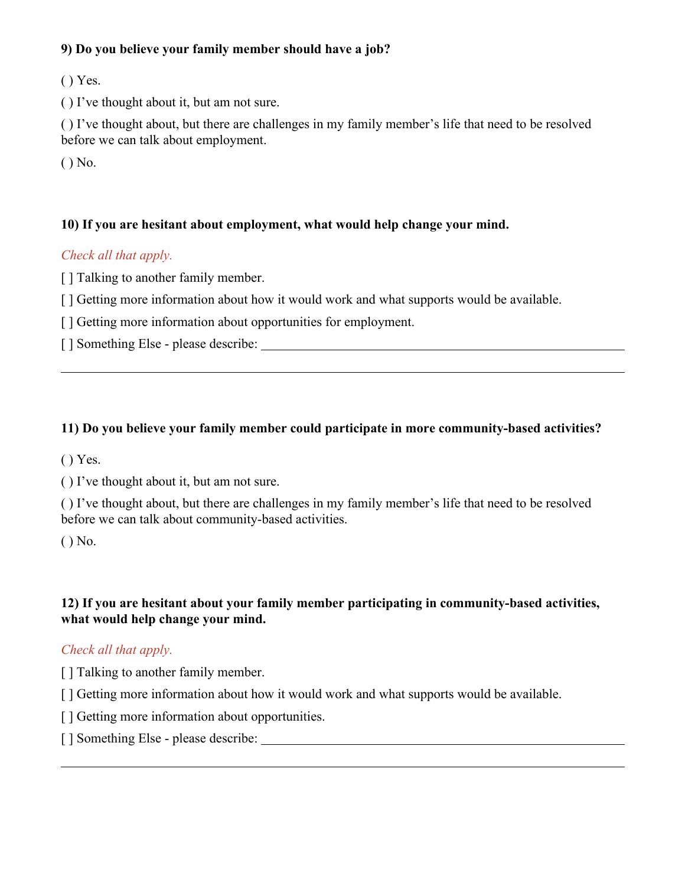#### **9) Do you believe your family member should have a job?**

( ) Yes.

( ) I've thought about it, but am not sure.

( ) I've thought about, but there are challenges in my family member's life that need to be resolved before we can talk about employment.

( ) No.

#### **10) If you are hesitant about employment, what would help change your mind.**

#### *Check all that apply.*

[ ] Talking to another family member.

[] Getting more information about how it would work and what supports would be available.

[ ] Getting more information about opportunities for employment.

[ ] Something Else - please describe:

#### **11) Do you believe your family member could participate in more community-based activities?**

( ) Yes.

( ) I've thought about it, but am not sure.

( ) I've thought about, but there are challenges in my family member's life that need to be resolved before we can talk about community-based activities.

( ) No.

#### **12) If you are hesitant about your family member participating in community-based activities, what would help change your mind.**

#### *Check all that apply.*

[ ] Talking to another family member.

[] Getting more information about how it would work and what supports would be available.

[] Getting more information about opportunities.

[ ] Something Else - please describe: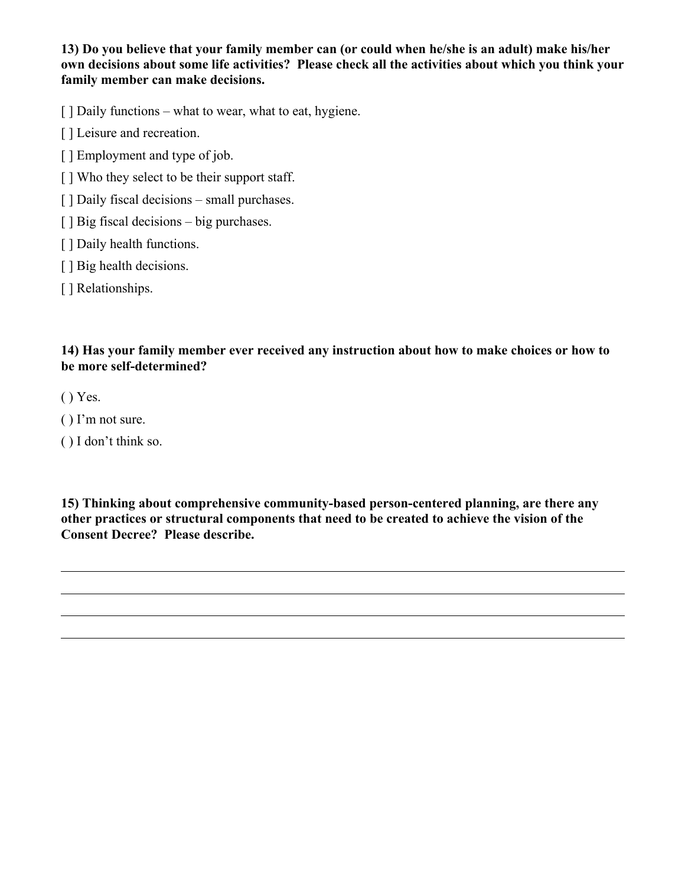**13) Do you believe that your family member can (or could when he/she is an adult) make his/her own decisions about some life activities? Please check all the activities about which you think your family member can make decisions.**

[ ] Daily functions – what to wear, what to eat, hygiene.

[ ] Leisure and recreation.

[ ] Employment and type of job.

[] Who they select to be their support staff.

[] Daily fiscal decisions – small purchases.

[ ] Big fiscal decisions – big purchases.

[] Daily health functions.

[ ] Big health decisions.

[] Relationships.

**14) Has your family member ever received any instruction about how to make choices or how to be more self-determined?**

( ) Yes.

( ) I'm not sure.

( ) I don't think so.

**15) Thinking about comprehensive community-based person-centered planning, are there any other practices or structural components that need to be created to achieve the vision of the Consent Decree? Please describe.**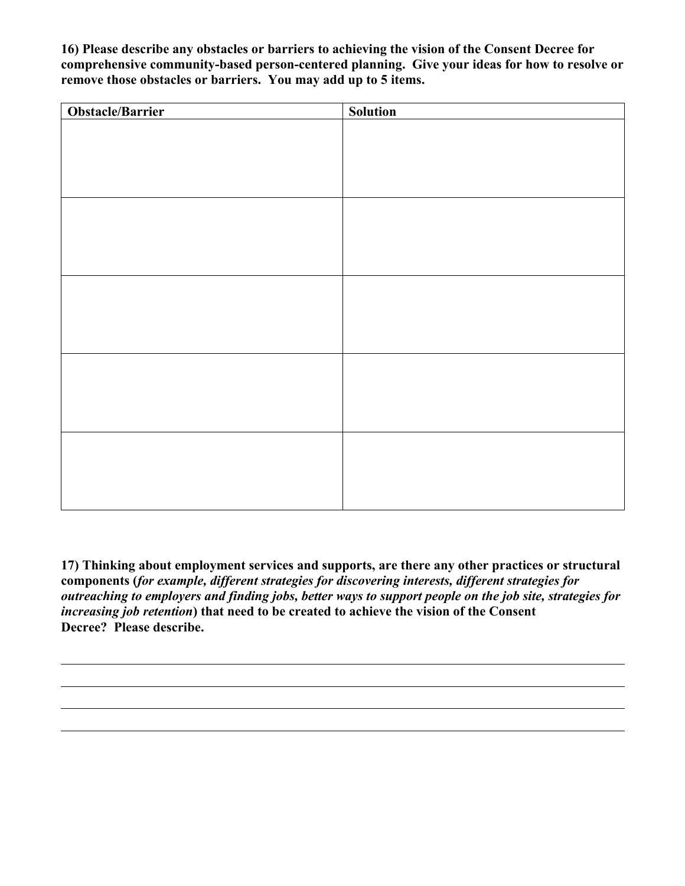**16) Please describe any obstacles or barriers to achieving the vision of the Consent Decree for comprehensive community-based person-centered planning. Give your ideas for how to resolve or remove those obstacles or barriers. You may add up to 5 items.**

| <b>Obstacle/Barrier</b> | <b>Solution</b> |
|-------------------------|-----------------|
|                         |                 |
|                         |                 |
|                         |                 |
|                         |                 |
|                         |                 |
|                         |                 |
|                         |                 |
|                         |                 |
|                         |                 |
|                         |                 |
|                         |                 |
|                         |                 |
|                         |                 |
|                         |                 |
|                         |                 |
|                         |                 |
|                         |                 |
|                         |                 |
|                         |                 |
|                         |                 |
|                         |                 |
|                         |                 |
|                         |                 |

**17) Thinking about employment services and supports, are there any other practices or structural components (***for example, different strategies for discovering interests, different strategies for outreaching to employers and finding jobs, better ways to support people on the job site, strategies for increasing job retention***) that need to be created to achieve the vision of the Consent Decree? Please describe.**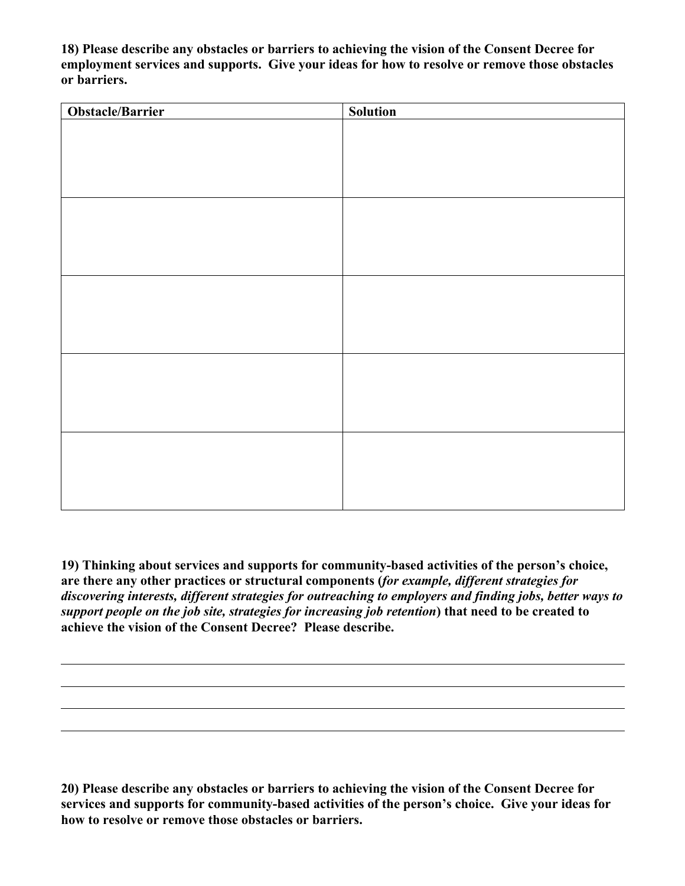**18) Please describe any obstacles or barriers to achieving the vision of the Consent Decree for employment services and supports. Give your ideas for how to resolve or remove those obstacles or barriers.**

| Obstacle/Barrier | <b>Solution</b> |
|------------------|-----------------|
|                  |                 |
|                  |                 |
|                  |                 |
|                  |                 |
|                  |                 |
|                  |                 |
|                  |                 |
|                  |                 |
|                  |                 |
|                  |                 |
|                  |                 |
|                  |                 |
|                  |                 |
|                  |                 |
|                  |                 |
|                  |                 |
|                  |                 |
|                  |                 |
|                  |                 |
|                  |                 |
|                  |                 |
|                  |                 |
|                  |                 |

**19) Thinking about services and supports for community-based activities of the person's choice, are there any other practices or structural components (***for example, different strategies for discovering interests, different strategies for outreaching to employers and finding jobs, better ways to support people on the job site, strategies for increasing job retention***) that need to be created to achieve the vision of the Consent Decree? Please describe.**

**20) Please describe any obstacles or barriers to achieving the vision of the Consent Decree for services and supports for community-based activities of the person's choice. Give your ideas for how to resolve or remove those obstacles or barriers.**